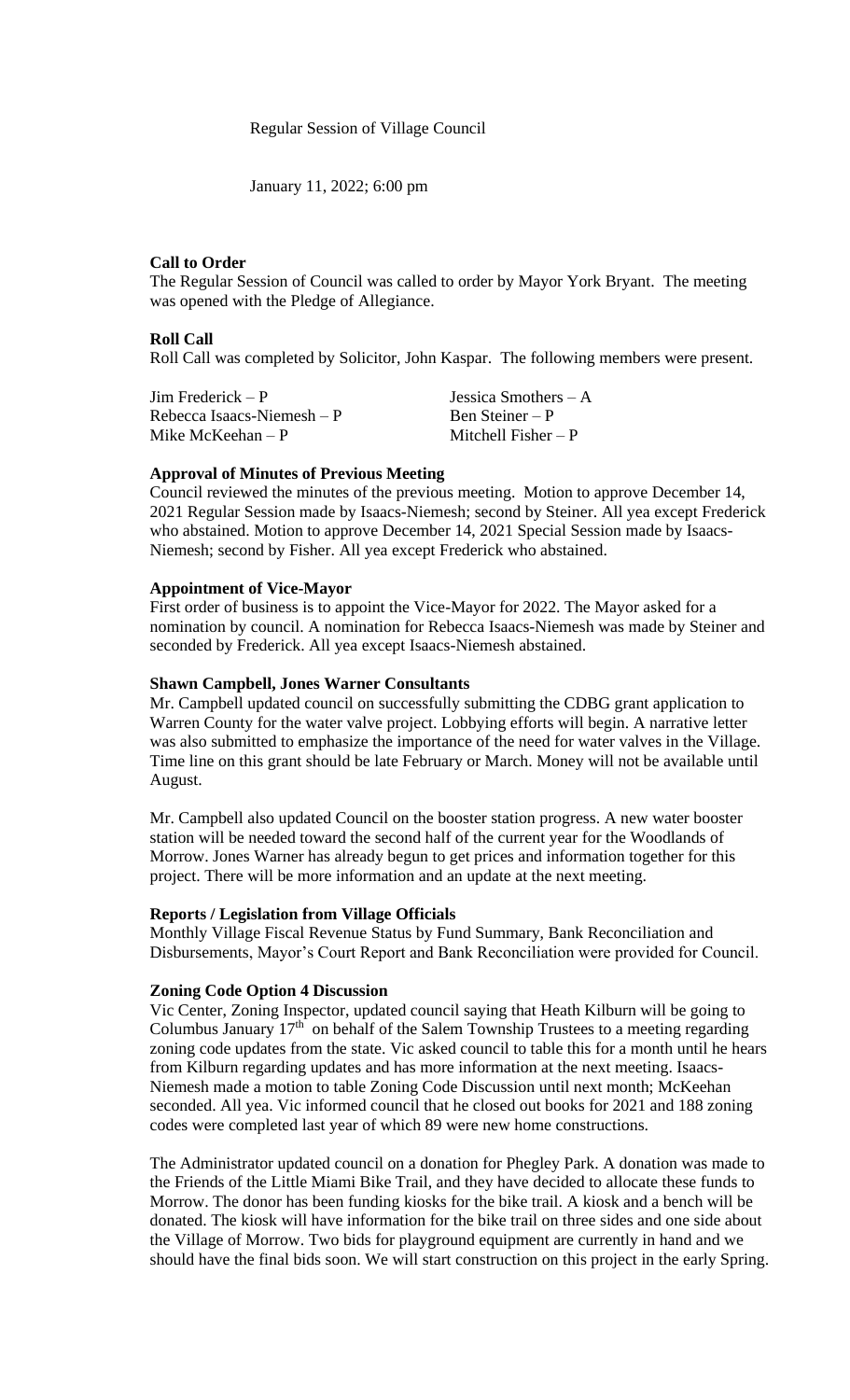### Regular Session of Village Council

January 11, 2022; 6:00 pm

# **Call to Order**

The Regular Session of Council was called to order by Mayor York Bryant. The meeting was opened with the Pledge of Allegiance.

### **Roll Call**

Roll Call was completed by Solicitor, John Kaspar. The following members were present.

| $\text{Jim Frederick} - \text{P}$ | Jessica Smothers $-A$ |
|-----------------------------------|-----------------------|
| Rebecca Isaacs-Niemesh $-P$       | Ben Steiner – P       |
| Mike McKeehan $-P$                | Mitchell Fisher $-P$  |

# **Approval of Minutes of Previous Meeting**

Council reviewed the minutes of the previous meeting. Motion to approve December 14, 2021 Regular Session made by Isaacs-Niemesh; second by Steiner. All yea except Frederick who abstained. Motion to approve December 14, 2021 Special Session made by Isaacs-Niemesh; second by Fisher. All yea except Frederick who abstained.

# **Appointment of Vice-Mayor**

First order of business is to appoint the Vice-Mayor for 2022. The Mayor asked for a nomination by council. A nomination for Rebecca Isaacs-Niemesh was made by Steiner and seconded by Frederick. All yea except Isaacs-Niemesh abstained.

### **Shawn Campbell, Jones Warner Consultants**

Mr. Campbell updated council on successfully submitting the CDBG grant application to Warren County for the water valve project. Lobbying efforts will begin. A narrative letter was also submitted to emphasize the importance of the need for water valves in the Village. Time line on this grant should be late February or March. Money will not be available until August.

Mr. Campbell also updated Council on the booster station progress. A new water booster station will be needed toward the second half of the current year for the Woodlands of Morrow. Jones Warner has already begun to get prices and information together for this project. There will be more information and an update at the next meeting.

### **Reports / Legislation from Village Officials**

Monthly Village Fiscal Revenue Status by Fund Summary, Bank Reconciliation and Disbursements, Mayor's Court Report and Bank Reconciliation were provided for Council.

### **Zoning Code Option 4 Discussion**

Vic Center, Zoning Inspector, updated council saying that Heath Kilburn will be going to Columbus January  $17<sup>th</sup>$  on behalf of the Salem Township Trustees to a meeting regarding zoning code updates from the state. Vic asked council to table this for a month until he hears from Kilburn regarding updates and has more information at the next meeting. Isaacs-Niemesh made a motion to table Zoning Code Discussion until next month; McKeehan seconded. All yea. Vic informed council that he closed out books for 2021 and 188 zoning codes were completed last year of which 89 were new home constructions.

The Administrator updated council on a donation for Phegley Park. A donation was made to the Friends of the Little Miami Bike Trail, and they have decided to allocate these funds to Morrow. The donor has been funding kiosks for the bike trail. A kiosk and a bench will be donated. The kiosk will have information for the bike trail on three sides and one side about the Village of Morrow. Two bids for playground equipment are currently in hand and we should have the final bids soon. We will start construction on this project in the early Spring.